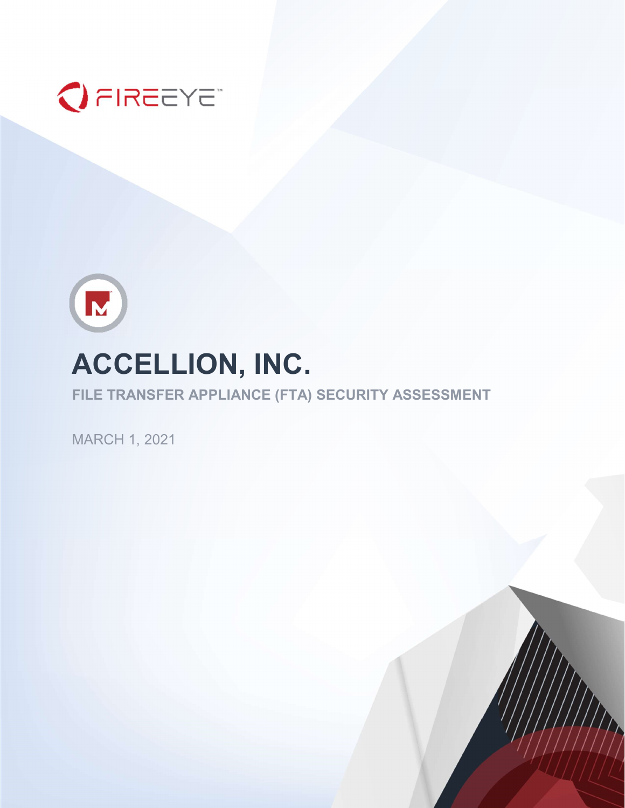



# ACCELLION, INC.

FILE TRANSFER APPLIANCE (FTA) SECURITY ASSESSMENT

MARCH 1, 2021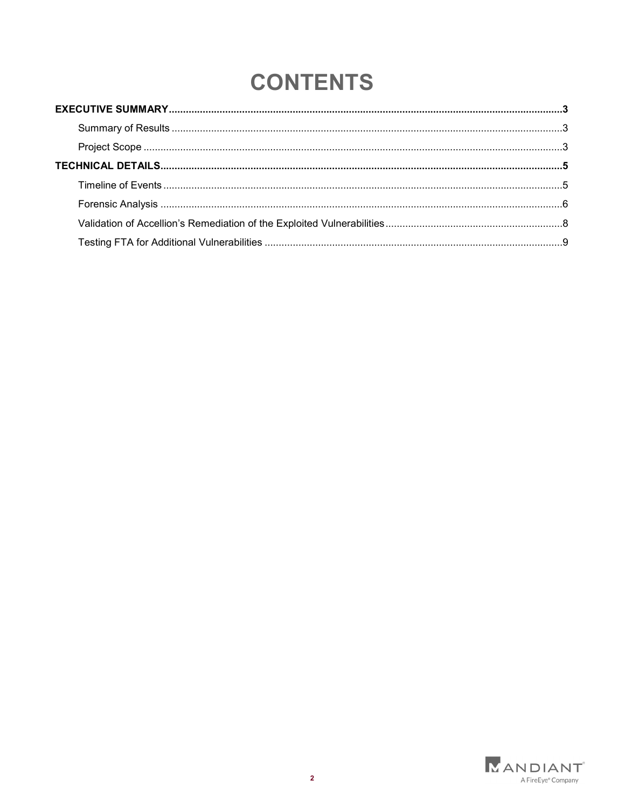## **CONTENTS**

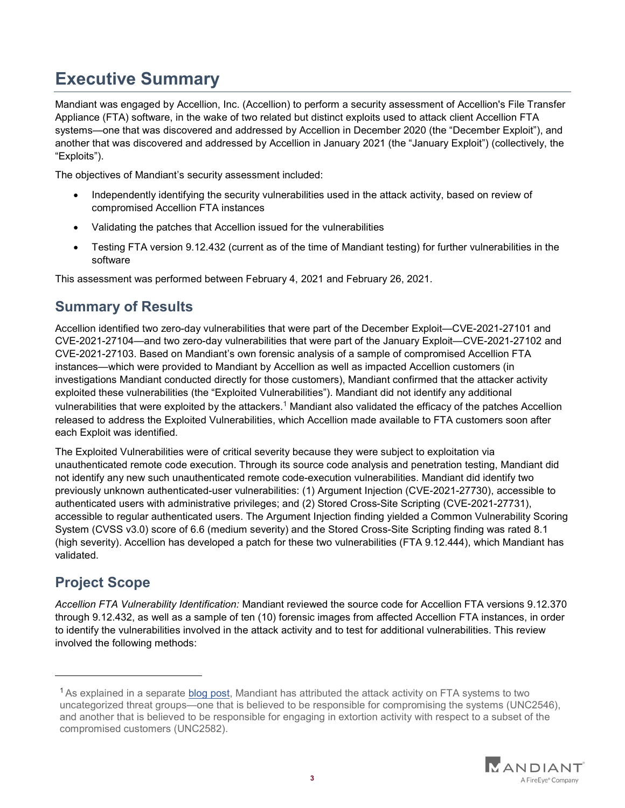## Executive Summary

Mandiant was engaged by Accellion, Inc. (Accellion) to perform a security assessment of Accellion's File Transfer Appliance (FTA) software, in the wake of two related but distinct exploits used to attack client Accellion FTA systems—one that was discovered and addressed by Accellion in December 2020 (the "December Exploit"), and another that was discovered and addressed by Accellion in January 2021 (the "January Exploit") (collectively, the "Exploits").

The objectives of Mandiant's security assessment included:

- Independently identifying the security vulnerabilities used in the attack activity, based on review of compromised Accellion FTA instances
- Validating the patches that Accellion issued for the vulnerabilities
- Testing FTA version 9.12.432 (current as of the time of Mandiant testing) for further vulnerabilities in the software

This assessment was performed between February 4, 2021 and February 26, 2021.

## Summary of Results

Accellion identified two zero-day vulnerabilities that were part of the December Exploit—CVE-2021-27101 and CVE-2021-27104—and two zero-day vulnerabilities that were part of the January Exploit—CVE-2021-27102 and CVE-2021-27103. Based on Mandiant's own forensic analysis of a sample of compromised Accellion FTA instances—which were provided to Mandiant by Accellion as well as impacted Accellion customers (in investigations Mandiant conducted directly for those customers), Mandiant confirmed that the attacker activity exploited these vulnerabilities (the "Exploited Vulnerabilities"). Mandiant did not identify any additional vulnerabilities that were exploited by the attackers. $^1$  Mandiant also validated the efficacy of the patches Accellion released to address the Exploited Vulnerabilities, which Accellion made available to FTA customers soon after each Exploit was identified.

The Exploited Vulnerabilities were of critical severity because they were subject to exploitation via unauthenticated remote code execution. Through its source code analysis and penetration testing, Mandiant did not identify any new such unauthenticated remote code-execution vulnerabilities. Mandiant did identify two previously unknown authenticated-user vulnerabilities: (1) Argument Injection (CVE-2021-27730), accessible to authenticated users with administrative privileges; and (2) Stored Cross-Site Scripting (CVE-2021-27731), accessible to regular authenticated users. The Argument Injection finding yielded a Common Vulnerability Scoring System (CVSS v3.0) score of 6.6 (medium severity) and the Stored Cross-Site Scripting finding was rated 8.1 (high severity). Accellion has developed a patch for these two vulnerabilities (FTA 9.12.444), which Mandiant has validated.

## Project Scope

Accellion FTA Vulnerability Identification: Mandiant reviewed the source code for Accellion FTA versions 9.12.370 through 9.12.432, as well as a sample of ten (10) forensic images from affected Accellion FTA instances, in order to identify the vulnerabilities involved in the attack activity and to test for additional vulnerabilities. This review involved the following methods:

 $1$ As explained in a separate blog post, Mandiant has attributed the attack activity on FTA systems to two uncategorized threat groups—one that is believed to be responsible for compromising the systems (UNC2546), and another that is believed to be responsible for engaging in extortion activity with respect to a subset of the compromised customers (UNC2582).

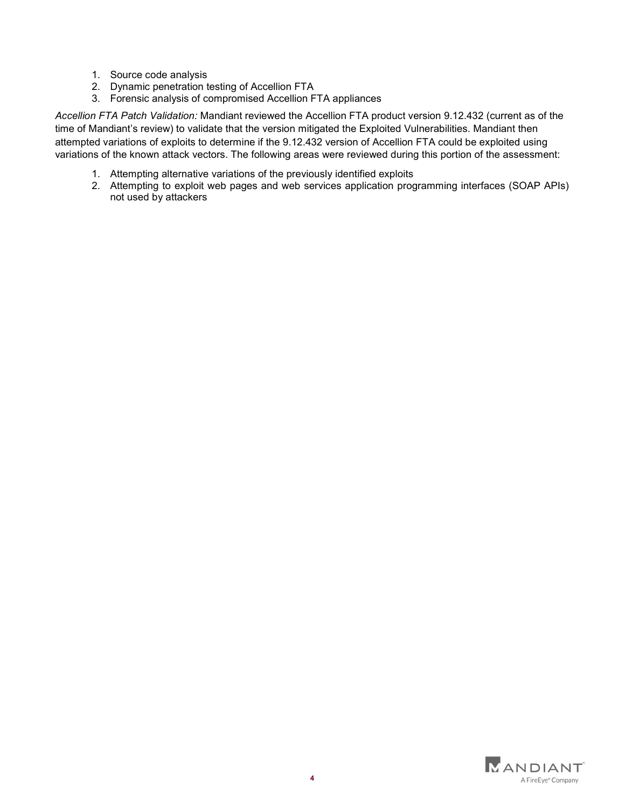- 1. Source code analysis
- 2. Dynamic penetration testing of Accellion FTA
- 3. Forensic analysis of compromised Accellion FTA appliances

Accellion FTA Patch Validation: Mandiant reviewed the Accellion FTA product version 9.12.432 (current as of the time of Mandiant's review) to validate that the version mitigated the Exploited Vulnerabilities. Mandiant then attempted variations of exploits to determine if the 9.12.432 version of Accellion FTA could be exploited using variations of the known attack vectors. The following areas were reviewed during this portion of the assessment:

- 1. Attempting alternative variations of the previously identified exploits
- 2. Attempting to exploit web pages and web services application programming interfaces (SOAP APIs) not used by attackers

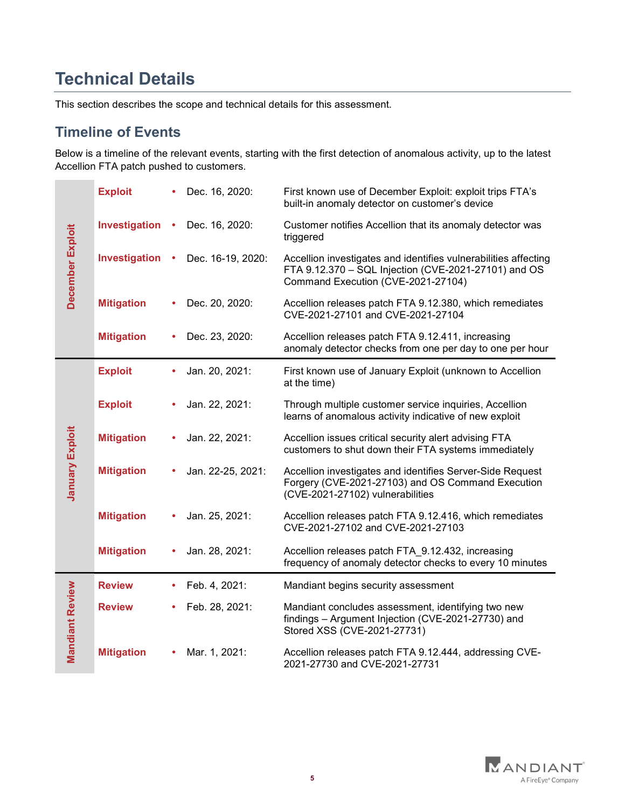## Technical Details

This section describes the scope and technical details for this assessment.

### Timeline of Events

Below is a timeline of the relevant events, starting with the first detection of anomalous activity, up to the latest Accellion FTA patch pushed to customers.

| December Exploit       | <b>Exploit</b>    | Dec. 16, 2020:    | First known use of December Exploit: exploit trips FTA's<br>built-in anomaly detector on customer's device                                                    |
|------------------------|-------------------|-------------------|---------------------------------------------------------------------------------------------------------------------------------------------------------------|
|                        | Investigation     | Dec. 16, 2020:    | Customer notifies Accellion that its anomaly detector was<br>triggered                                                                                        |
|                        | Investigation     | Dec. 16-19, 2020: | Accellion investigates and identifies vulnerabilities affecting<br>FTA 9.12.370 - SQL Injection (CVE-2021-27101) and OS<br>Command Execution (CVE-2021-27104) |
|                        | <b>Mitigation</b> | Dec. 20, 2020:    | Accellion releases patch FTA 9.12.380, which remediates<br>CVE-2021-27101 and CVE-2021-27104                                                                  |
|                        | <b>Mitigation</b> | Dec. 23, 2020:    | Accellion releases patch FTA 9.12.411, increasing<br>anomaly detector checks from one per day to one per hour                                                 |
| <b>January Exploit</b> | <b>Exploit</b>    | Jan. 20, 2021:    | First known use of January Exploit (unknown to Accellion<br>at the time)                                                                                      |
|                        | <b>Exploit</b>    | Jan. 22, 2021:    | Through multiple customer service inquiries, Accellion<br>learns of anomalous activity indicative of new exploit                                              |
|                        | <b>Mitigation</b> | Jan. 22, 2021:    | Accellion issues critical security alert advising FTA<br>customers to shut down their FTA systems immediately                                                 |
|                        | <b>Mitigation</b> | Jan. 22-25, 2021: | Accellion investigates and identifies Server-Side Request<br>Forgery (CVE-2021-27103) and OS Command Execution<br>(CVE-2021-27102) vulnerabilities            |
|                        | <b>Mitigation</b> | Jan. 25, 2021:    | Accellion releases patch FTA 9.12.416, which remediates<br>CVE-2021-27102 and CVE-2021-27103                                                                  |
|                        | <b>Mitigation</b> | Jan. 28, 2021:    | Accellion releases patch FTA_9.12.432, increasing<br>frequency of anomaly detector checks to every 10 minutes                                                 |
| <b>Mandiant Review</b> | <b>Review</b>     | Feb. 4, 2021:     | Mandiant begins security assessment                                                                                                                           |
|                        | <b>Review</b>     | Feb. 28, 2021:    | Mandiant concludes assessment, identifying two new<br>findings - Argument Injection (CVE-2021-27730) and<br>Stored XSS (CVE-2021-27731)                       |
|                        | <b>Mitigation</b> | Mar. 1, 2021:     | Accellion releases patch FTA 9.12.444, addressing CVE-<br>2021-27730 and CVE-2021-27731                                                                       |

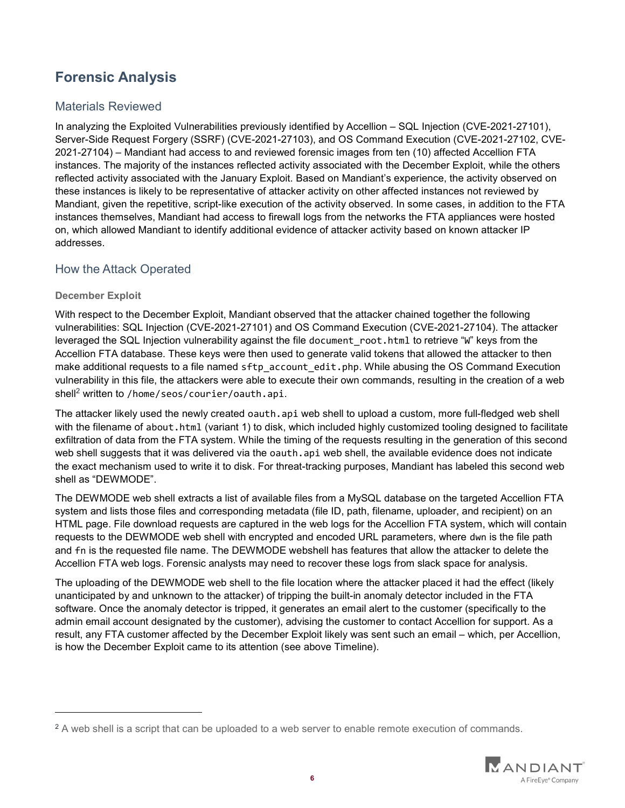## Forensic Analysis

#### Materials Reviewed

In analyzing the Exploited Vulnerabilities previously identified by Accellion – SQL Injection (CVE-2021-27101), Server-Side Request Forgery (SSRF) (CVE-2021-27103), and OS Command Execution (CVE-2021-27102, CVE-2021-27104) – Mandiant had access to and reviewed forensic images from ten (10) affected Accellion FTA instances. The majority of the instances reflected activity associated with the December Exploit, while the others reflected activity associated with the January Exploit. Based on Mandiant's experience, the activity observed on these instances is likely to be representative of attacker activity on other affected instances not reviewed by Mandiant, given the repetitive, script-like execution of the activity observed. In some cases, in addition to the FTA instances themselves, Mandiant had access to firewall logs from the networks the FTA appliances were hosted on, which allowed Mandiant to identify additional evidence of attacker activity based on known attacker IP addresses.

#### How the Attack Operated

#### December Exploit

 $\overline{a}$ 

With respect to the December Exploit, Mandiant observed that the attacker chained together the following vulnerabilities: SQL Injection (CVE-2021-27101) and OS Command Execution (CVE-2021-27104). The attacker leveraged the SQL Injection vulnerability against the file document root.html to retrieve "W" keys from the Accellion FTA database. These keys were then used to generate valid tokens that allowed the attacker to then make additional requests to a file named sftp\_account\_edit.php. While abusing the OS Command Execution vulnerability in this file, the attackers were able to execute their own commands, resulting in the creation of a web  $\textsf{shell}^2$  written to /home/seos/courier/oauth.api.

The attacker likely used the newly created oauth.api web shell to upload a custom, more full-fledged web shell with the filename of about.html (variant 1) to disk, which included highly customized tooling designed to facilitate exfiltration of data from the FTA system. While the timing of the requests resulting in the generation of this second web shell suggests that it was delivered via the oauth.api web shell, the available evidence does not indicate the exact mechanism used to write it to disk. For threat-tracking purposes, Mandiant has labeled this second web shell as "DEWMODE".

The DEWMODE web shell extracts a list of available files from a MySQL database on the targeted Accellion FTA system and lists those files and corresponding metadata (file ID, path, filename, uploader, and recipient) on an HTML page. File download requests are captured in the web logs for the Accellion FTA system, which will contain requests to the DEWMODE web shell with encrypted and encoded URL parameters, where dwn is the file path and fn is the requested file name. The DEWMODE webshell has features that allow the attacker to delete the Accellion FTA web logs. Forensic analysts may need to recover these logs from slack space for analysis.

The uploading of the DEWMODE web shell to the file location where the attacker placed it had the effect (likely unanticipated by and unknown to the attacker) of tripping the built-in anomaly detector included in the FTA software. Once the anomaly detector is tripped, it generates an email alert to the customer (specifically to the admin email account designated by the customer), advising the customer to contact Accellion for support. As a result, any FTA customer affected by the December Exploit likely was sent such an email – which, per Accellion, is how the December Exploit came to its attention (see above Timeline).

 $2$  A web shell is a script that can be uploaded to a web server to enable remote execution of commands.

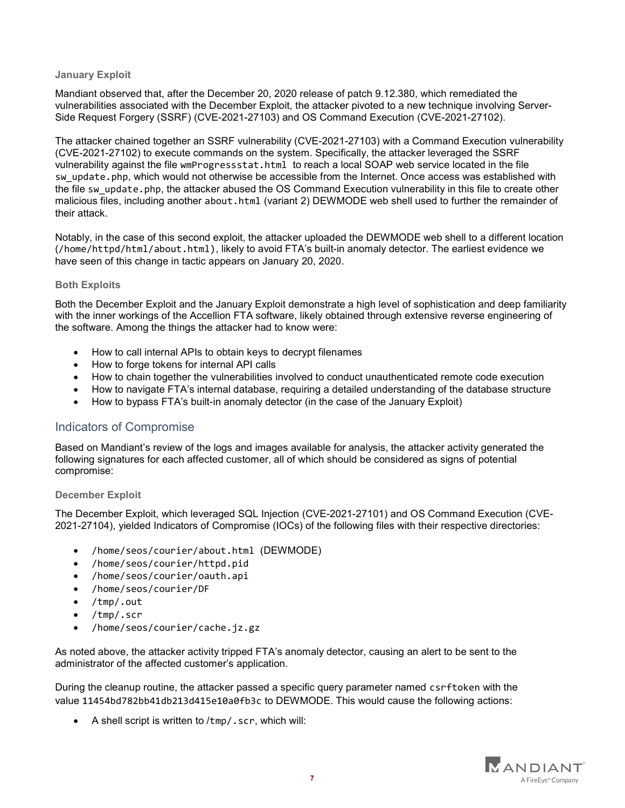#### January Exploit

Mandiant observed that, after the December 20, 2020 release of patch 9.12.380, which remediated the vulnerabilities associated with the December Exploit, the attacker pivoted to a new technique involving Server-Side Request Forgery (SSRF) (CVE-2021-27103) and OS Command Execution (CVE-2021-27102).

The attacker chained together an SSRF vulnerability (CVE-2021-27103) with a Command Execution vulnerability (CVE-2021-27102) to execute commands on the system. Specifically, the attacker leveraged the SSRF vulnerability against the file wmProgressstat.html to reach a local SOAP web service located in the file sw update.php, which would not otherwise be accessible from the Internet. Once access was established with the file sw update.php, the attacker abused the OS Command Execution vulnerability in this file to create other malicious files, including another about.html (variant 2) DEWMODE web shell used to further the remainder of their attack.

Notably, in the case of this second exploit, the attacker uploaded the DEWMODE web shell to a different location (/home/httpd/html/about.html), likely to avoid FTA's built-in anomaly detector. The earliest evidence we have seen of this change in tactic appears on January 20, 2020.

#### Both Exploits

Both the December Exploit and the January Exploit demonstrate a high level of sophistication and deep familiarity with the inner workings of the Accellion FTA software, likely obtained through extensive reverse engineering of the software. Among the things the attacker had to know were:

- How to call internal APIs to obtain keys to decrypt filenames
- How to forge tokens for internal API calls
- How to chain together the vulnerabilities involved to conduct unauthenticated remote code execution
- How to navigate FTA's internal database, requiring a detailed understanding of the database structure
- How to bypass FTA's built-in anomaly detector (in the case of the January Exploit)

#### Indicators of Compromise

Based on Mandiant's review of the logs and images available for analysis, the attacker activity generated the following signatures for each affected customer, all of which should be considered as signs of potential compromise:

#### December Exploit

The December Exploit, which leveraged SQL Injection (CVE-2021-27101) and OS Command Execution (CVE-2021-27104), yielded Indicators of Compromise (IOCs) of the following files with their respective directories:

- /home/seos/courier/about.html (DEWMODE)
- /home/seos/courier/httpd.pid
- /home/seos/courier/oauth.api
- /home/seos/courier/DF
- /tmp/.out
- /tmp/.scr
- /home/seos/courier/cache.jz.gz

As noted above, the attacker activity tripped FTA's anomaly detector, causing an alert to be sent to the administrator of the affected customer's application.

During the cleanup routine, the attacker passed a specific query parameter named csrftoken with the value 11454bd782bb41db213d415e10a0fb3c to DEWMODE. This would cause the following actions:

 $\bullet$  A shell script is written to /tmp/.scr, which will:

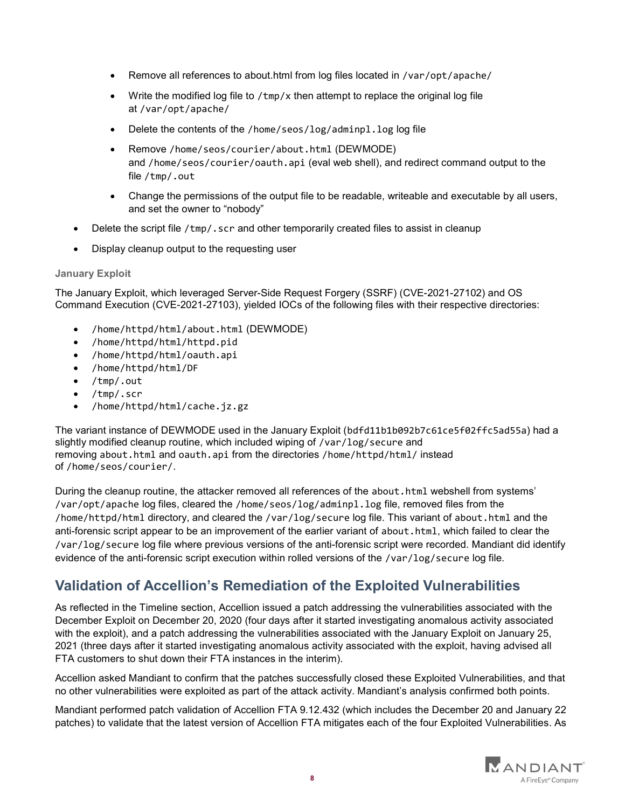- Remove all references to about.html from log files located in /var/opt/apache/
- Write the modified log file to /tmp/x then attempt to replace the original log file at /var/opt/apache/
- Delete the contents of the /home/seos/log/adminpl.log log file
- Remove /home/seos/courier/about.html (DEWMODE) and /home/seos/courier/oauth.api (eval web shell), and redirect command output to the file /tmp/.out
- Change the permissions of the output file to be readable, writeable and executable by all users, and set the owner to "nobody"
- Delete the script file /tmp/.scr and other temporarily created files to assist in cleanup
- Display cleanup output to the requesting user

#### January Exploit

The January Exploit, which leveraged Server-Side Request Forgery (SSRF) (CVE-2021-27102) and OS Command Execution (CVE-2021-27103), yielded IOCs of the following files with their respective directories:

- /home/httpd/html/about.html (DEWMODE)
- /home/httpd/html/httpd.pid
- /home/httpd/html/oauth.api
- /home/httpd/html/DF
- /tmp/.out
- /tmp/.scr
- /home/httpd/html/cache.jz.gz

The variant instance of DEWMODE used in the January Exploit (bdfd11b1b092b7c61ce5f02ffc5ad55a) had a slightly modified cleanup routine, which included wiping of /var/log/secure and removing about.html and oauth.api from the directories /home/httpd/html/ instead of /home/seos/courier/.

During the cleanup routine, the attacker removed all references of the about.html webshell from systems' /var/opt/apache log files, cleared the /home/seos/log/adminpl.log file, removed files from the /home/httpd/html directory, and cleared the /var/log/secure log file. This variant of about.html and the anti-forensic script appear to be an improvement of the earlier variant of about.html, which failed to clear the /var/log/secure log file where previous versions of the anti-forensic script were recorded. Mandiant did identify evidence of the anti-forensic script execution within rolled versions of the /var/log/secure log file.

## Validation of Accellion's Remediation of the Exploited Vulnerabilities

As reflected in the Timeline section, Accellion issued a patch addressing the vulnerabilities associated with the December Exploit on December 20, 2020 (four days after it started investigating anomalous activity associated with the exploit), and a patch addressing the vulnerabilities associated with the January Exploit on January 25, 2021 (three days after it started investigating anomalous activity associated with the exploit, having advised all FTA customers to shut down their FTA instances in the interim).

Accellion asked Mandiant to confirm that the patches successfully closed these Exploited Vulnerabilities, and that no other vulnerabilities were exploited as part of the attack activity. Mandiant's analysis confirmed both points.

Mandiant performed patch validation of Accellion FTA 9.12.432 (which includes the December 20 and January 22 patches) to validate that the latest version of Accellion FTA mitigates each of the four Exploited Vulnerabilities. As

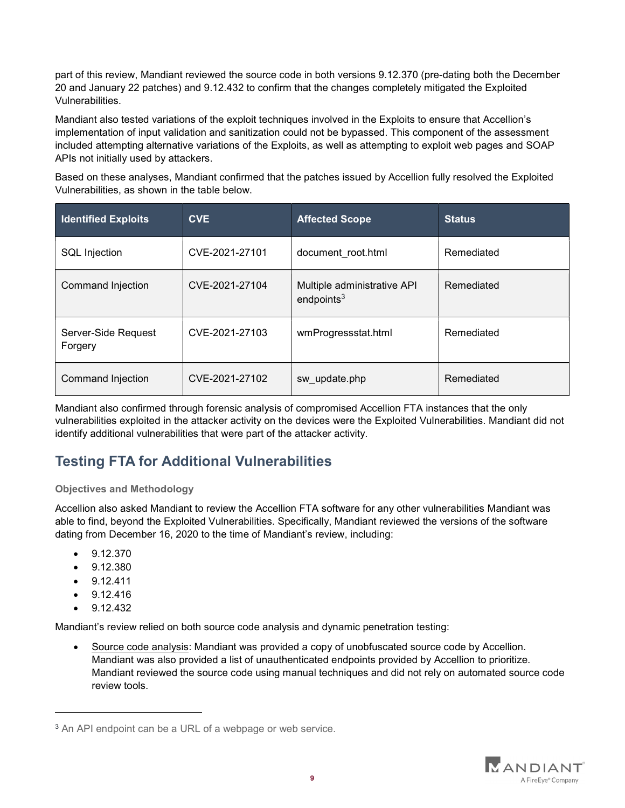part of this review, Mandiant reviewed the source code in both versions 9.12.370 (pre-dating both the December 20 and January 22 patches) and 9.12.432 to confirm that the changes completely mitigated the Exploited Vulnerabilities.

Mandiant also tested variations of the exploit techniques involved in the Exploits to ensure that Accellion's implementation of input validation and sanitization could not be bypassed. This component of the assessment included attempting alternative variations of the Exploits, as well as attempting to exploit web pages and SOAP APIs not initially used by attackers.

Based on these analyses, Mandiant confirmed that the patches issued by Accellion fully resolved the Exploited Vulnerabilities, as shown in the table below.

| <b>Identified Exploits</b>     | <b>CVE</b>     | <b>Affected Scope</b>                        | <b>Status</b> |
|--------------------------------|----------------|----------------------------------------------|---------------|
| <b>SQL Injection</b>           | CVE-2021-27101 | document root.html                           | Remediated    |
| Command Injection              | CVE-2021-27104 | Multiple administrative API<br>endpoints $3$ | Remediated    |
| Server-Side Request<br>Forgery | CVE-2021-27103 | wmProgressstat.html                          | Remediated    |
| Command Injection              | CVE-2021-27102 | sw update.php                                | Remediated    |

Mandiant also confirmed through forensic analysis of compromised Accellion FTA instances that the only vulnerabilities exploited in the attacker activity on the devices were the Exploited Vulnerabilities. Mandiant did not identify additional vulnerabilities that were part of the attacker activity.

## Testing FTA for Additional Vulnerabilities

#### Objectives and Methodology

Accellion also asked Mandiant to review the Accellion FTA software for any other vulnerabilities Mandiant was able to find, beyond the Exploited Vulnerabilities. Specifically, Mandiant reviewed the versions of the software dating from December 16, 2020 to the time of Mandiant's review, including:

- 9.12.370
- $-9.12.380$
- $-9.12.411$
- $-9.12.416$
- 9.12.432

 $\overline{a}$ 

Mandiant's review relied on both source code analysis and dynamic penetration testing:

 Source code analysis: Mandiant was provided a copy of unobfuscated source code by Accellion. Mandiant was also provided a list of unauthenticated endpoints provided by Accellion to prioritize. Mandiant reviewed the source code using manual techniques and did not rely on automated source code review tools.



<sup>&</sup>lt;sup>3</sup> An API endpoint can be a URL of a webpage or web service.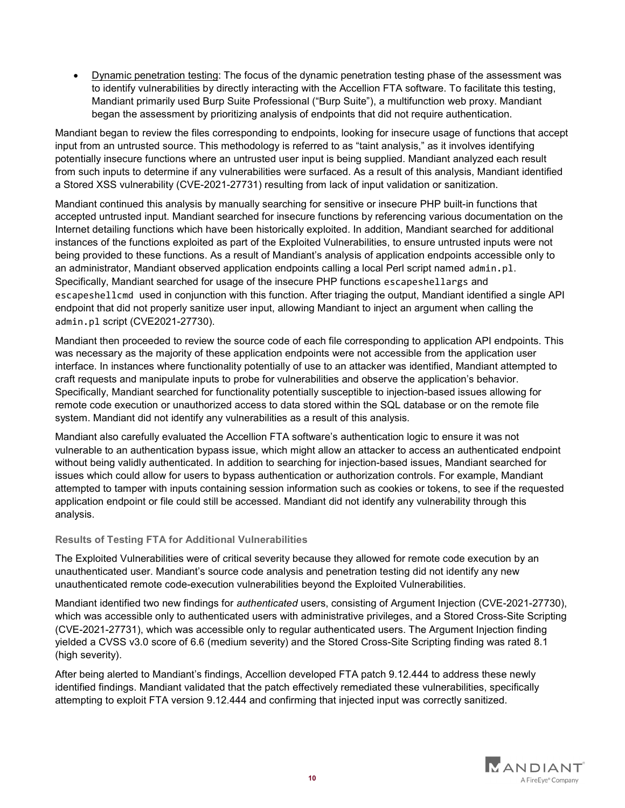Dynamic penetration testing: The focus of the dynamic penetration testing phase of the assessment was to identify vulnerabilities by directly interacting with the Accellion FTA software. To facilitate this testing, Mandiant primarily used Burp Suite Professional ("Burp Suite"), a multifunction web proxy. Mandiant began the assessment by prioritizing analysis of endpoints that did not require authentication.

Mandiant began to review the files corresponding to endpoints, looking for insecure usage of functions that accept input from an untrusted source. This methodology is referred to as "taint analysis," as it involves identifying potentially insecure functions where an untrusted user input is being supplied. Mandiant analyzed each result from such inputs to determine if any vulnerabilities were surfaced. As a result of this analysis, Mandiant identified a Stored XSS vulnerability (CVE-2021-27731) resulting from lack of input validation or sanitization.

Mandiant continued this analysis by manually searching for sensitive or insecure PHP built-in functions that accepted untrusted input. Mandiant searched for insecure functions by referencing various documentation on the Internet detailing functions which have been historically exploited. In addition, Mandiant searched for additional instances of the functions exploited as part of the Exploited Vulnerabilities, to ensure untrusted inputs were not being provided to these functions. As a result of Mandiant's analysis of application endpoints accessible only to an administrator, Mandiant observed application endpoints calling a local Perl script named admin.pl. Specifically, Mandiant searched for usage of the insecure PHP functions escapeshellargs and escapeshellcmd used in conjunction with this function. After triaging the output, Mandiant identified a single API endpoint that did not properly sanitize user input, allowing Mandiant to inject an argument when calling the admin.pl script (CVE2021-27730).

Mandiant then proceeded to review the source code of each file corresponding to application API endpoints. This was necessary as the majority of these application endpoints were not accessible from the application user interface. In instances where functionality potentially of use to an attacker was identified, Mandiant attempted to craft requests and manipulate inputs to probe for vulnerabilities and observe the application's behavior. Specifically, Mandiant searched for functionality potentially susceptible to injection-based issues allowing for remote code execution or unauthorized access to data stored within the SQL database or on the remote file system. Mandiant did not identify any vulnerabilities as a result of this analysis.

Mandiant also carefully evaluated the Accellion FTA software's authentication logic to ensure it was not vulnerable to an authentication bypass issue, which might allow an attacker to access an authenticated endpoint without being validly authenticated. In addition to searching for injection-based issues, Mandiant searched for issues which could allow for users to bypass authentication or authorization controls. For example, Mandiant attempted to tamper with inputs containing session information such as cookies or tokens, to see if the requested application endpoint or file could still be accessed. Mandiant did not identify any vulnerability through this analysis.

#### Results of Testing FTA for Additional Vulnerabilities

The Exploited Vulnerabilities were of critical severity because they allowed for remote code execution by an unauthenticated user. Mandiant's source code analysis and penetration testing did not identify any new unauthenticated remote code-execution vulnerabilities beyond the Exploited Vulnerabilities.

Mandiant identified two new findings for authenticated users, consisting of Argument Injection (CVE-2021-27730), which was accessible only to authenticated users with administrative privileges, and a Stored Cross-Site Scripting (CVE-2021-27731), which was accessible only to regular authenticated users. The Argument Injection finding yielded a CVSS v3.0 score of 6.6 (medium severity) and the Stored Cross-Site Scripting finding was rated 8.1 (high severity).

After being alerted to Mandiant's findings, Accellion developed FTA patch 9.12.444 to address these newly identified findings. Mandiant validated that the patch effectively remediated these vulnerabilities, specifically attempting to exploit FTA version 9.12.444 and confirming that injected input was correctly sanitized.